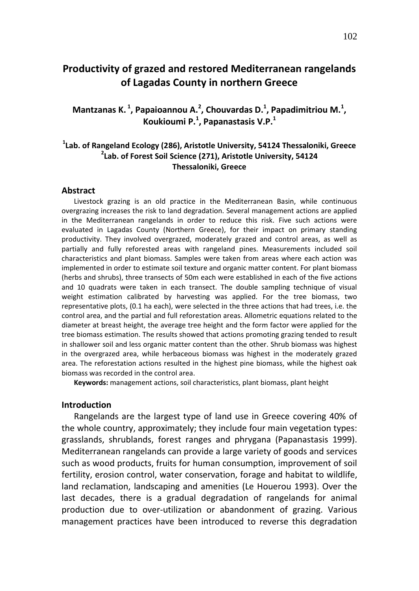# **Productivity of grazed and restored Mediterranean rangelands of Lagadas County in northern Greece**

Mantzanas K.<sup>1</sup>, Papaioannou A.<sup>2</sup>, Chouvardas D.<sup>1</sup>, Papadimitriou M.<sup>1</sup>, **Koukioumi P.<sup>1</sup> , Papanastasis V.P.<sup>1</sup>**

# **1 Lab. of Rangeland Ecology (286), Aristotle University, 54124 Thessaloniki, Greece 2 Lab. of Forest Soil Science (271), Aristotle University, 54124 Thessaloniki, Greece**

#### **Abstract**

Livestock grazing is an old practice in the Mediterranean Basin, while continuous overgrazing increases the risk to land degradation. Several management actions are applied in the Mediterranean rangelands in order to reduce this risk. Five such actions were evaluated in Lagadas County (Northern Greece), for their impact on primary standing productivity. They involved overgrazed, moderately grazed and control areas, as well as partially and fully reforested areas with rangeland pines. Measurements included soil characteristics and plant biomass. Samples were taken from areas where each action was implemented in order to estimate soil texture and organic matter content. For plant biomass (herbs and shrubs), three transects of 50m each were established in each of the five actions and 10 quadrats were taken in each transect. The double sampling technique of visual weight estimation calibrated by harvesting was applied. For the tree biomass, two representative plots, (0.1 ha each), were selected in the three actions that had trees, i.e. the control area, and the partial and full reforestation areas. Allometric equations related to the diameter at breast height, the average tree height and the form factor were applied for the tree biomass estimation. The results showed that actions promoting grazing tended to result in shallower soil and less organic matter content than the other. Shrub biomass was highest in the overgrazed area, while herbaceous biomass was highest in the moderately grazed area. The reforestation actions resulted in the highest pine biomass, while the highest oak biomass was recorded in the control area.

**Keywords:** management actions, soil characteristics, plant biomass, plant height

#### **Introduction**

Rangelands are the largest type of land use in Greece covering 40% of the whole country, approximately; they include four main vegetation types: grasslands, shrublands, forest ranges and phrygana (Papanastasis 1999). Mediterranean rangelands can provide a large variety of goods and services such as wood products, fruits for human consumption, improvement of soil fertility, erosion control, water conservation, forage and habitat to wildlife, land reclamation, landscaping and amenities (Le Houerou 1993). Over the last decades, there is a gradual degradation of rangelands for animal production due to over-utilization or abandonment of grazing. Various management practices have been introduced to reverse this degradation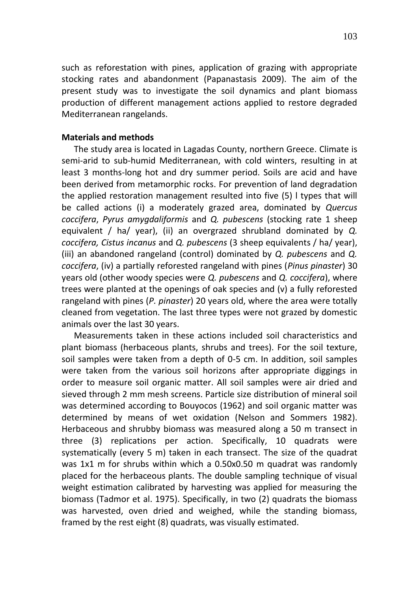such as reforestation with pines, application of grazing with appropriate stocking rates and abandonment (Papanastasis 2009). The aim of the present study was to investigate the soil dynamics and plant biomass production of different management actions applied to restore degraded Mediterranean rangelands.

## **Materials and methods**

The study area is located in Lagadas County, northern Greece. Climate is semi-arid to sub-humid Mediterranean, with cold winters, resulting in at least 3 months-long hot and dry summer period. Soils are acid and have been derived from metamorphic rocks. For prevention of land degradation the applied restoration management resulted into five (5) l types that will be called actions (i) a moderately grazed area, dominated by *Quercus coccifera*, *Pyrus amygdaliformis* and *Q. pubescens* (stocking rate 1 sheep equivalent / ha/ year), (ii) an overgrazed shrubland dominated by *Q. coccifera, Cistus incanus* and *Q. pubescens* (3 sheep equivalents / ha/ year), (iii) an abandoned rangeland (control) dominated by *Q. pubescens* and *Q. coccifera*, (iv) a partially reforested rangeland with pines (*Pinus pinaster*) 30 years old (other woody species were *Q. pubescens* and *Q. coccifera*), where trees were planted at the openings of oak species and (v) a fully reforested rangeland with pines (*P. pinaster*) 20 years old, where the area were totally cleaned from vegetation. The last three types were not grazed by domestic animals over the last 30 years.

Measurements taken in these actions included soil characteristics and plant biomass (herbaceous plants, shrubs and trees). For the soil texture, soil samples were taken from a depth of 0-5 cm. In addition, soil samples were taken from the various soil horizons after appropriate diggings in order to measure soil organic matter. All soil samples were air dried and sieved through 2 mm mesh screens. Particle size distribution of mineral soil was determined according to Bouyocos (1962) and soil organic matter was determined by means of wet oxidation (Nelson and Sommers 1982). Herbaceous and shrubby biomass was measured along a 50 m transect in three (3) replications per action. Specifically, 10 quadrats were systematically (every 5 m) taken in each transect. The size of the quadrat was 1x1 m for shrubs within which a 0.50x0.50 m quadrat was randomly placed for the herbaceous plants. The double sampling technique of visual weight estimation calibrated by harvesting was applied for measuring the biomass (Tadmor et al. 1975). Specifically, in two (2) quadrats the biomass was harvested, oven dried and weighed, while the standing biomass, framed by the rest eight (8) quadrats, was visually estimated.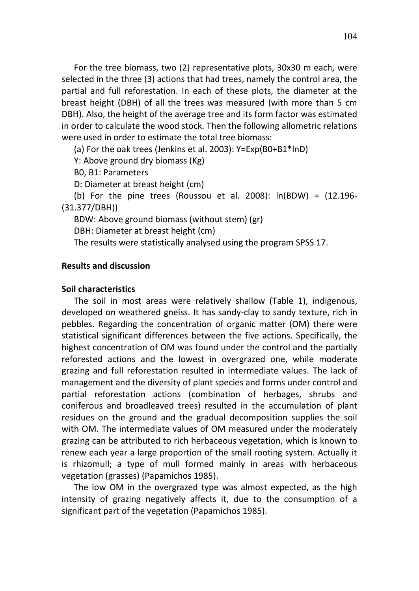For the tree biomass, two (2) representative plots, 30x30 m each, were selected in the three (3) actions that had trees, namely the control area, the partial and full reforestation. In each of these plots, the diameter at the breast height (DBH) of all the trees was measured (with more than 5 cm DBH). Also, the height of the average tree and its form factor was estimated in order to calculate the wood stock. Then the following allometric relations were used in order to estimate the total tree biomass:

(a) For the oak trees (Jenkins et al. 2003): Y=Exp(B0+B1\*lnD)

Y: Above ground dry biomass (Kg)

B0, B1: Parameters

D: Diameter at breast height (cm)

(b) For the pine trees (Roussou et al. 2008):  $ln(BDW) = (12.196 -$ (31.377/DBH))

BDW: Above ground biomass (without stem) (gr)

DBH: Diameter at breast height (cm)

The results were statistically analysed using the program SPSS 17.

# **Results and discussion**

### **Soil characteristics**

The soil in most areas were relatively shallow (Table 1), indigenous, developed on weathered gneiss. It has sandy-clay to sandy texture, rich in pebbles. Regarding the concentration of organic matter (OM) there were statistical significant differences between the five actions. Specifically, the highest concentration of OM was found under the control and the partially reforested actions and the lowest in overgrazed one, while moderate grazing and full reforestation resulted in intermediate values. The lack of management and the diversity of plant species and forms under control and partial reforestation actions (combination of herbages, shrubs and coniferous and broadleaved trees) resulted in the accumulation of plant residues on the ground and the gradual decomposition supplies the soil with OM. The intermediate values of OM measured under the moderately grazing can be attributed to rich herbaceous vegetation, which is known to renew each year a large proportion of the small rooting system. Actually it is rhizomull; a type of mull formed mainly in areas with herbaceous vegetation (grasses) (Papamichos 1985).

The low OM in the overgrazed type was almost expected, as the high intensity of grazing negatively affects it, due to the consumption of a significant part of the vegetation (Papamichos 1985).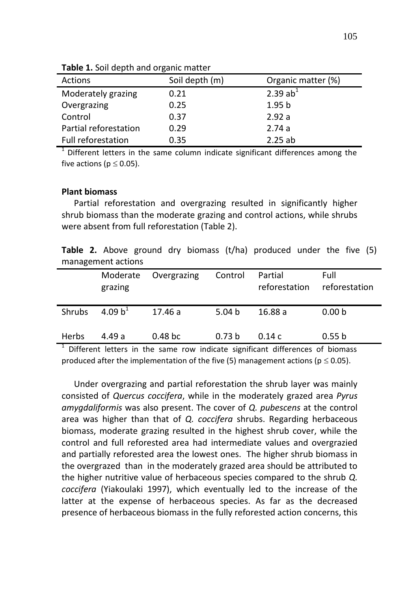| Actions               | Soil depth (m) | Organic matter (%) |
|-----------------------|----------------|--------------------|
| Moderately grazing    | 0.21           | 2.39 $ab1$         |
| Overgrazing           | 0.25           | 1.95 <sub>b</sub>  |
| Control               | 0.37           | 2.92a              |
| Partial reforestation | 0.29           | 2.74a              |
| Full reforestation    | 0.35           | 2.25ab             |

**Table 1.** Soil depth and organic matter

 $1$  Different letters in the same column indicate significant differences among the five actions ( $p \le 0.05$ ).

## **Plant biomass**

Partial reforestation and overgrazing resulted in significantly higher shrub biomass than the moderate grazing and control actions, while shrubs were absent from full reforestation (Table 2).

**Table 2.** Above ground dry biomass (t/ha) produced under the five (5) management actions

|              | Moderate<br>grazing | Overgrazing        | Control           | Partial<br>reforestation | Full<br>reforestation |
|--------------|---------------------|--------------------|-------------------|--------------------------|-----------------------|
| Shrubs       | 4.09 $b^1$          | 17.46 a            | 5.04 $b$          | 16.88 a                  | 0.00 <sub>b</sub>     |
| <b>Herbs</b> | 4.49 a              | 0.48 <sub>bc</sub> | 0.73 <sub>b</sub> | 0.14c                    | 0.55 b                |

<sup>1</sup> Different letters in the same row indicate significant differences of biomass produced after the implementation of the five (5) management actions ( $p \le 0.05$ ).

Under overgrazing and partial reforestation the shrub layer was mainly consisted of *Quercus coccifera*, while in the moderately grazed area *Pyrus amygdaliformis* was also present. The cover of *Q. pubescens* at the control area was higher than that of *Q. coccifera* shrubs. Regarding herbaceous biomass, moderate grazing resulted in the highest shrub cover, while the control and full reforested area had intermediate values and overgrazied and partially reforested area the lowest ones. The higher shrub biomass in the overgrazed than in the moderately grazed area should be attributed to the higher nutritive value of herbaceous species compared to the shrub *Q. coccifera* (Yiakoulaki 1997), which eventually led to the increase of the latter at the expense of herbaceous species. As far as the decreased presence of herbaceous biomass in the fully reforested action concerns, this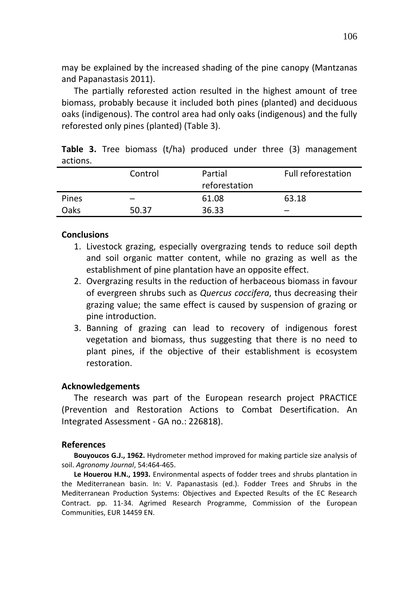may be explained by the increased shading of the pine canopy (Mantzanas and Papanastasis 2011).

The partially reforested action resulted in the highest amount of tree biomass, probably because it included both pines (planted) and deciduous oaks (indigenous). The control area had only oaks (indigenous) and the fully reforested only pines (planted) (Table 3).

|          |  |  |  |  | <b>Table 3.</b> Tree biomass (t/ha) produced under three (3) management |
|----------|--|--|--|--|-------------------------------------------------------------------------|
| actions. |  |  |  |  |                                                                         |

|       | Control | Partial<br>reforestation | Full reforestation |
|-------|---------|--------------------------|--------------------|
| Pines |         | 61.08                    | 63.18              |
| Oaks  | 50.37   | 36.33                    |                    |

# **Conclusions**

- 1. Livestock grazing, especially overgrazing tends to reduce soil depth and soil organic matter content, while no grazing as well as the establishment of pine plantation have an opposite effect.
- 2. Overgrazing results in the reduction of herbaceous biomass in favour of evergreen shrubs such as *Quercus coccifera*, thus decreasing their grazing value; the same effect is caused by suspension of grazing or pine introduction.
- 3. Banning of grazing can lead to recovery of indigenous forest vegetation and biomass, thus suggesting that there is no need to plant pines, if the objective of their establishment is ecosystem restoration.

#### **Acknowledgements**

The research was part of the European research project PRACTICE (Prevention and Restoration Actions to Combat Desertification. An Integrated Assessment - GA no.: 226818).

#### **References**

**Bouyoucos G.J., 1962.** Hydrometer method improved for making particle size analysis of soil. *Agronomy Journal*, 54:464-465.

**Le Houerou H.N., 1993.** Environmental aspects of fodder trees and shrubs plantation in the Mediterranean basin. In: V. Papanastasis (ed.). Fodder Trees and Shrubs in the Mediterranean Production Systems: Objectives and Expected Results of the EC Research Contract. pp. 11-34. Agrimed Research Programme, Commission of the European Communities, EUR 14459 EN.